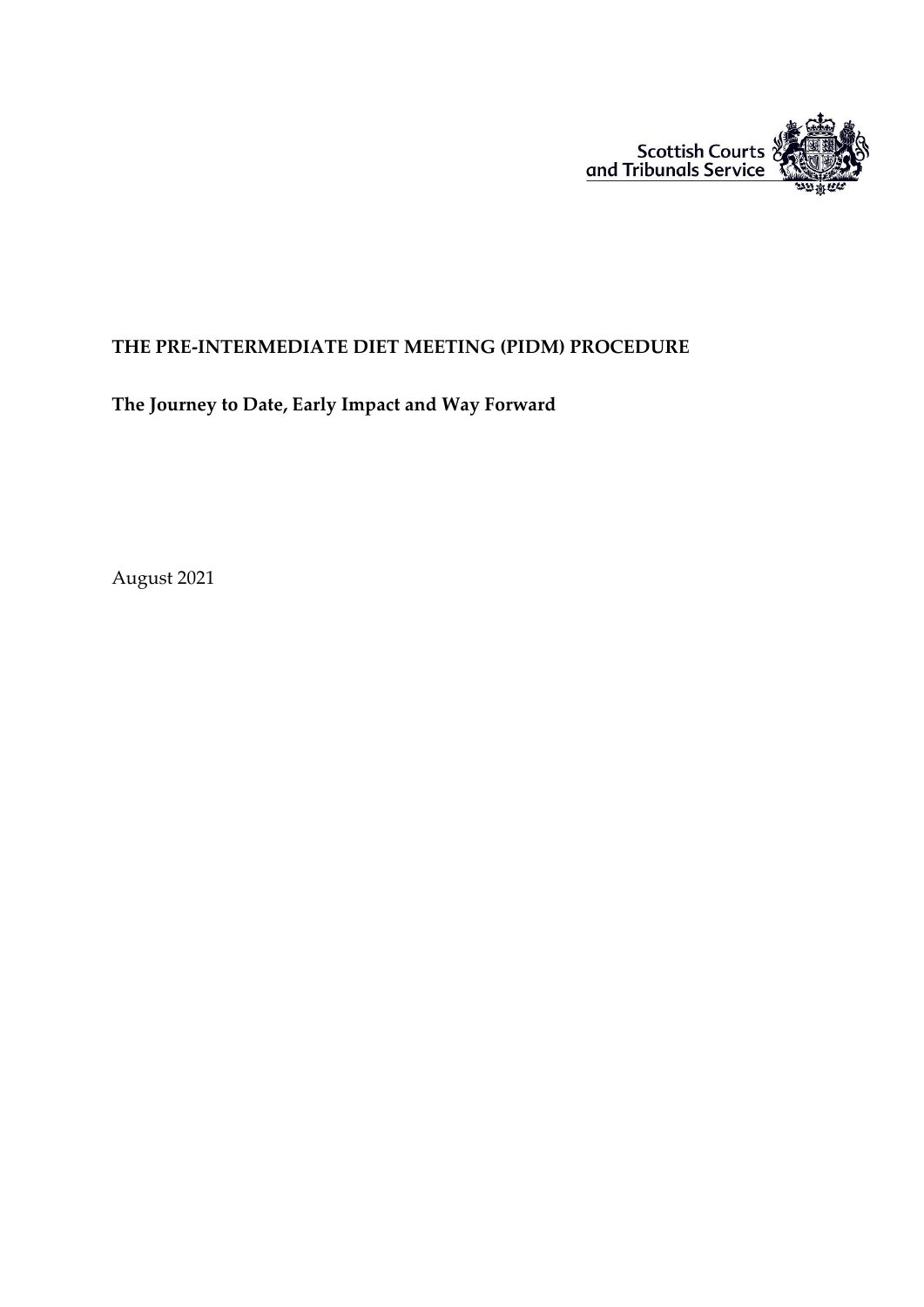

### **THE PRE-INTERMEDIATE DIET MEETING (PIDM) PROCEDURE**

**The Journey to Date, Early Impact and Way Forward**

August 2021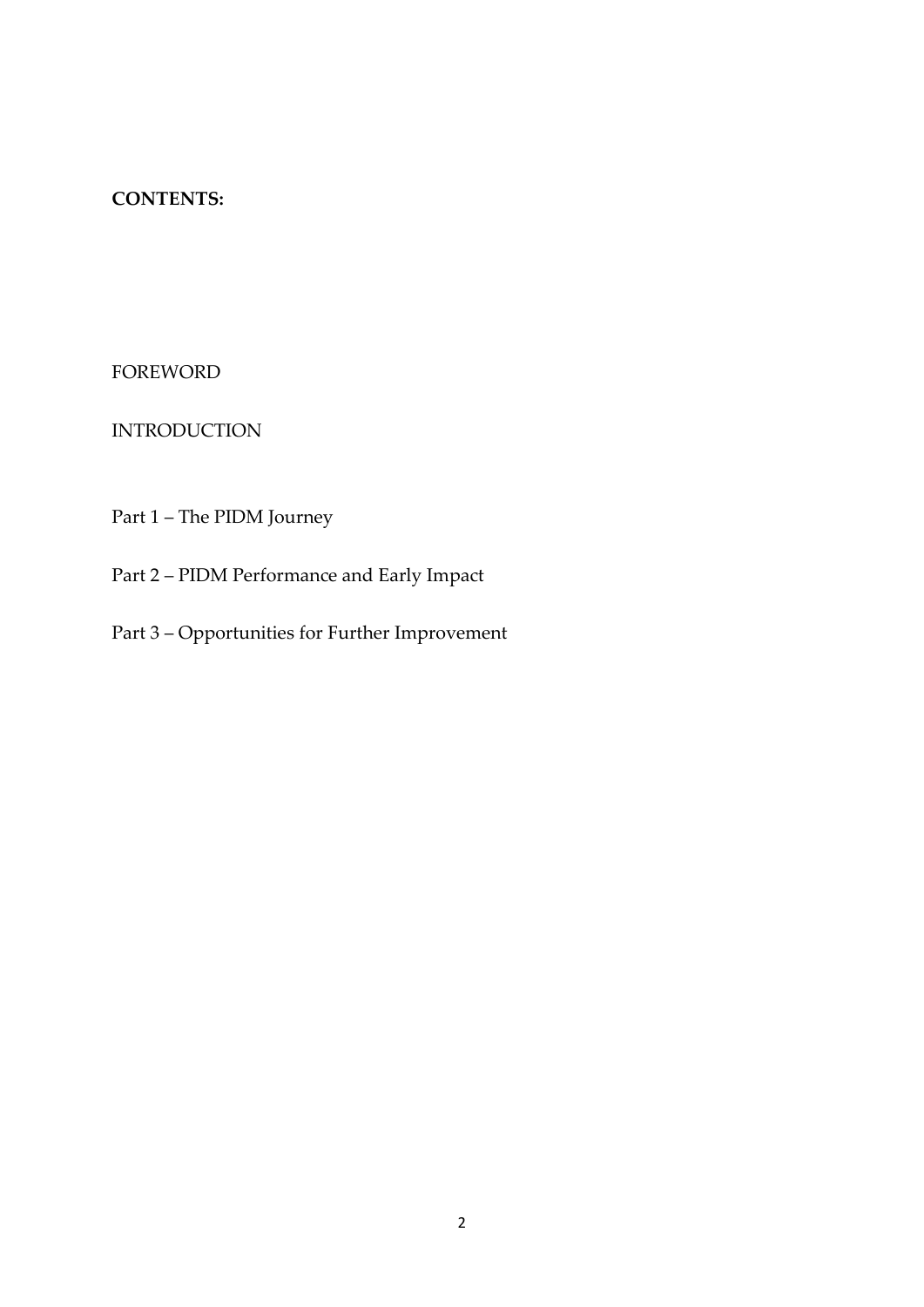### **CONTENTS:**

FOREWORD

INTRODUCTION

Part 1 – The PIDM Journey

Part 2 – PIDM Performance and Early Impact

Part 3 – Opportunities for Further Improvement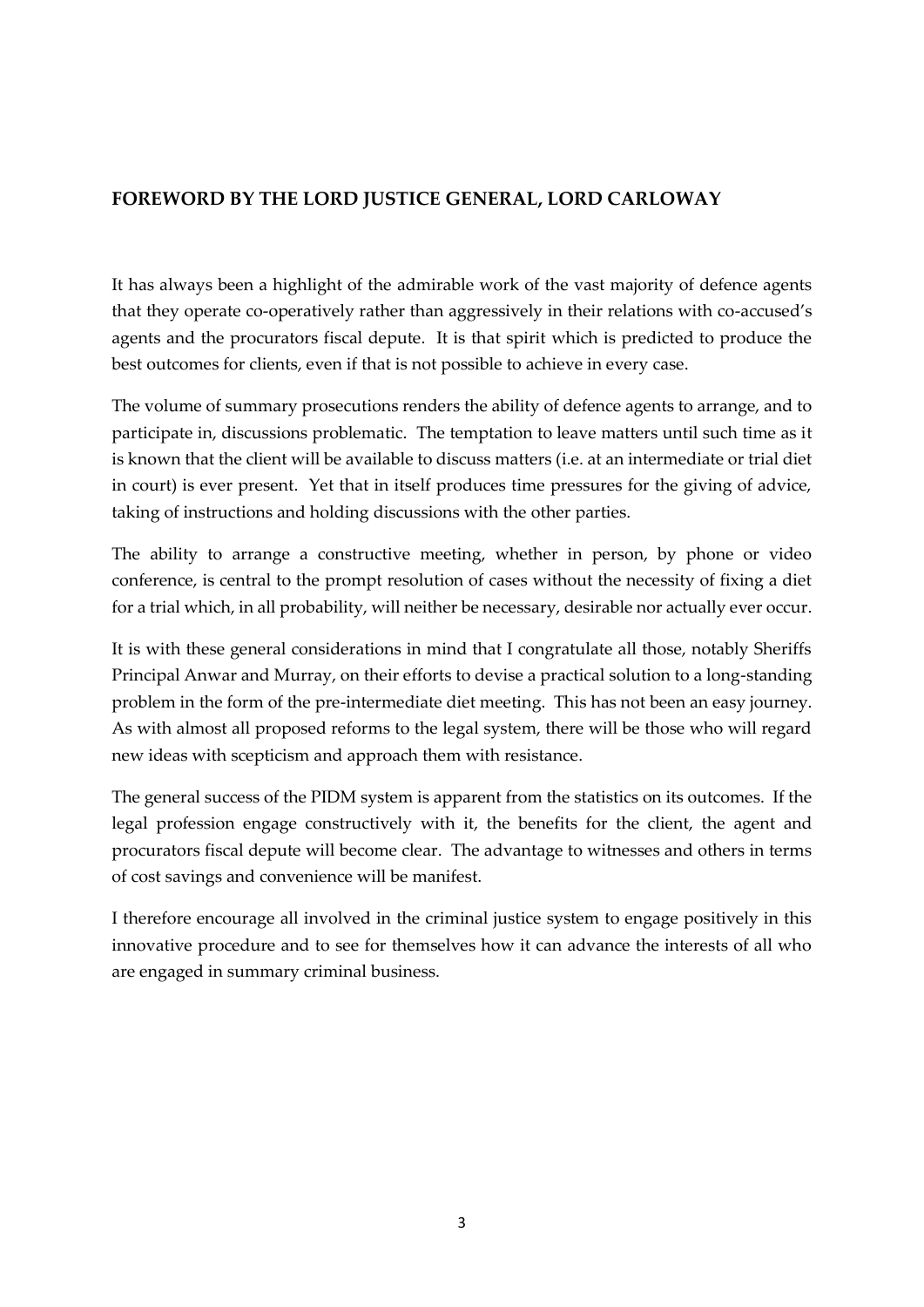### **FOREWORD BY THE LORD JUSTICE GENERAL, LORD CARLOWAY**

It has always been a highlight of the admirable work of the vast majority of defence agents that they operate co-operatively rather than aggressively in their relations with co-accused's agents and the procurators fiscal depute. It is that spirit which is predicted to produce the best outcomes for clients, even if that is not possible to achieve in every case.

The volume of summary prosecutions renders the ability of defence agents to arrange, and to participate in, discussions problematic. The temptation to leave matters until such time as it is known that the client will be available to discuss matters (i.e. at an intermediate or trial diet in court) is ever present. Yet that in itself produces time pressures for the giving of advice, taking of instructions and holding discussions with the other parties.

The ability to arrange a constructive meeting, whether in person, by phone or video conference, is central to the prompt resolution of cases without the necessity of fixing a diet for a trial which, in all probability, will neither be necessary, desirable nor actually ever occur.

It is with these general considerations in mind that I congratulate all those, notably Sheriffs Principal Anwar and Murray, on their efforts to devise a practical solution to a long-standing problem in the form of the pre-intermediate diet meeting. This has not been an easy journey. As with almost all proposed reforms to the legal system, there will be those who will regard new ideas with scepticism and approach them with resistance.

The general success of the PIDM system is apparent from the statistics on its outcomes. If the legal profession engage constructively with it, the benefits for the client, the agent and procurators fiscal depute will become clear. The advantage to witnesses and others in terms of cost savings and convenience will be manifest.

I therefore encourage all involved in the criminal justice system to engage positively in this innovative procedure and to see for themselves how it can advance the interests of all who are engaged in summary criminal business.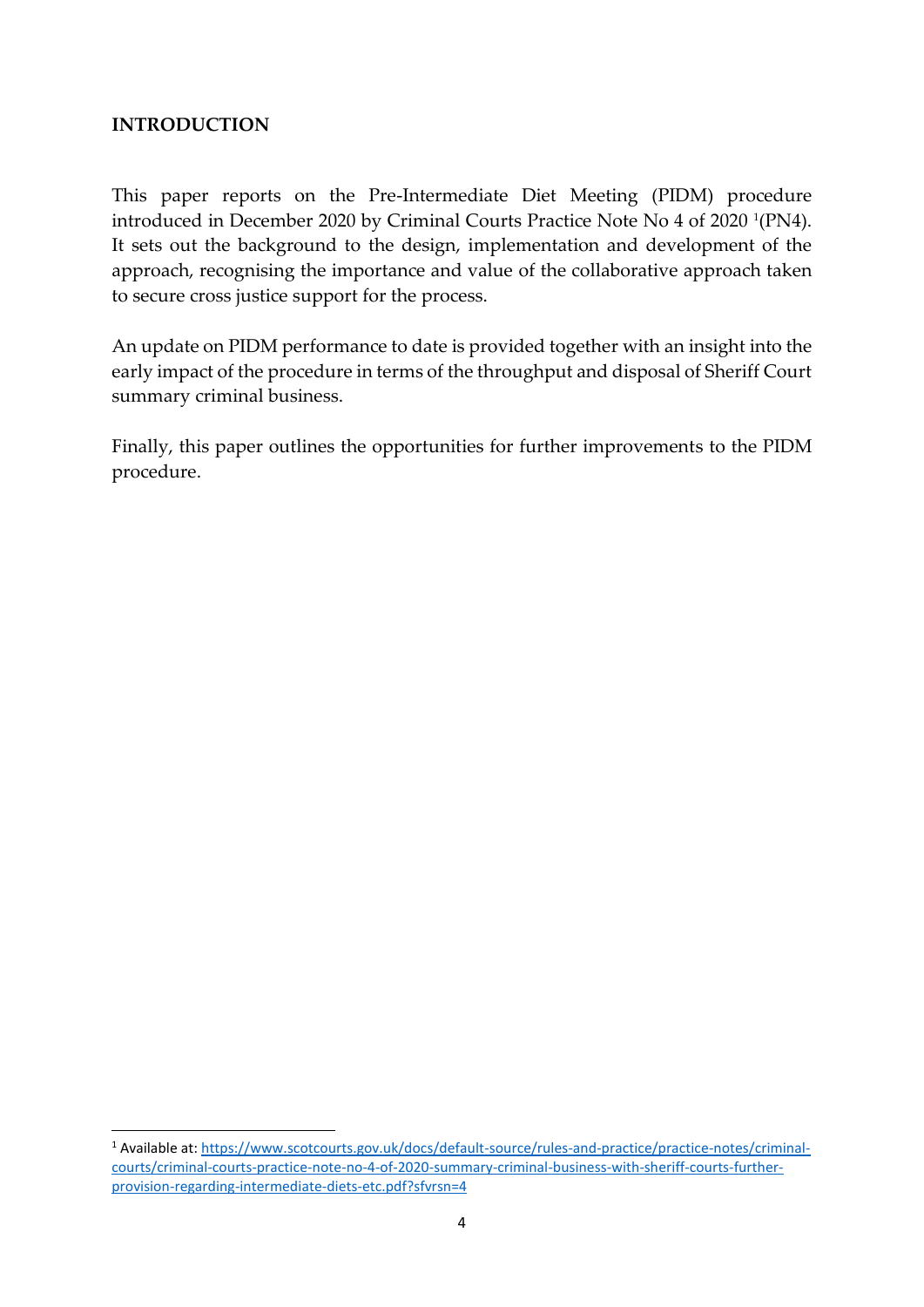### **INTRODUCTION**

-

This paper reports on the Pre-Intermediate Diet Meeting (PIDM) procedure introduced in December 2020 by Criminal Courts Practice Note No 4 of 2020 <sup>1</sup> (PN4). It sets out the background to the design, implementation and development of the approach, recognising the importance and value of the collaborative approach taken to secure cross justice support for the process.

An update on PIDM performance to date is provided together with an insight into the early impact of the procedure in terms of the throughput and disposal of Sheriff Court summary criminal business.

Finally, this paper outlines the opportunities for further improvements to the PIDM procedure.

<sup>1</sup> Available at: [https://www.scotcourts.gov.uk/docs/default-source/rules-and-practice/practice-notes/criminal](https://www.scotcourts.gov.uk/docs/default-source/rules-and-practice/practice-notes/criminal-courts/criminal-courts-practice-note-no-4-of-2020-summary-criminal-business-with-sheriff-courts-further-provision-regarding-intermediate-diets-etc.pdf?sfvrsn=4)[courts/criminal-courts-practice-note-no-4-of-2020-summary-criminal-business-with-sheriff-courts-further](https://www.scotcourts.gov.uk/docs/default-source/rules-and-practice/practice-notes/criminal-courts/criminal-courts-practice-note-no-4-of-2020-summary-criminal-business-with-sheriff-courts-further-provision-regarding-intermediate-diets-etc.pdf?sfvrsn=4)[provision-regarding-intermediate-diets-etc.pdf?sfvrsn=4](https://www.scotcourts.gov.uk/docs/default-source/rules-and-practice/practice-notes/criminal-courts/criminal-courts-practice-note-no-4-of-2020-summary-criminal-business-with-sheriff-courts-further-provision-regarding-intermediate-diets-etc.pdf?sfvrsn=4)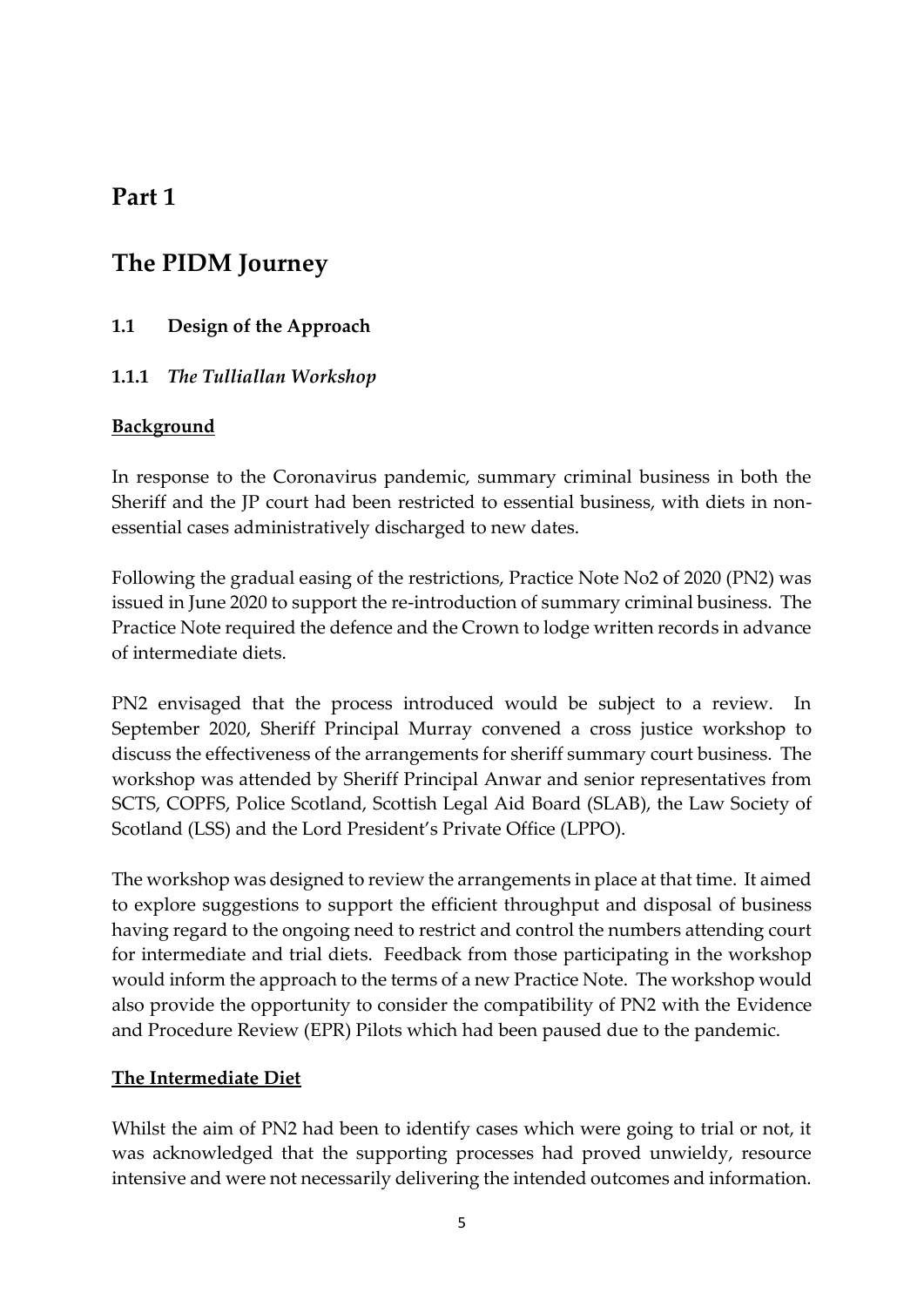## **Part 1**

## **The PIDM Journey**

## **1.1 Design of the Approach**

## **1.1.1** *The Tulliallan Workshop*

### **Background**

In response to the Coronavirus pandemic, summary criminal business in both the Sheriff and the JP court had been restricted to essential business, with diets in nonessential cases administratively discharged to new dates.

Following the gradual easing of the restrictions, Practice Note No2 of 2020 (PN2) was issued in June 2020 to support the re-introduction of summary criminal business. The Practice Note required the defence and the Crown to lodge written records in advance of intermediate diets.

PN2 envisaged that the process introduced would be subject to a review. In September 2020, Sheriff Principal Murray convened a cross justice workshop to discuss the effectiveness of the arrangements for sheriff summary court business. The workshop was attended by Sheriff Principal Anwar and senior representatives from SCTS, COPFS, Police Scotland, Scottish Legal Aid Board (SLAB), the Law Society of Scotland (LSS) and the Lord President's Private Office (LPPO).

The workshop was designed to review the arrangements in place at that time. It aimed to explore suggestions to support the efficient throughput and disposal of business having regard to the ongoing need to restrict and control the numbers attending court for intermediate and trial diets. Feedback from those participating in the workshop would inform the approach to the terms of a new Practice Note. The workshop would also provide the opportunity to consider the compatibility of PN2 with the Evidence and Procedure Review (EPR) Pilots which had been paused due to the pandemic.

### **The Intermediate Diet**

Whilst the aim of PN2 had been to identify cases which were going to trial or not, it was acknowledged that the supporting processes had proved unwieldy, resource intensive and were not necessarily delivering the intended outcomes and information.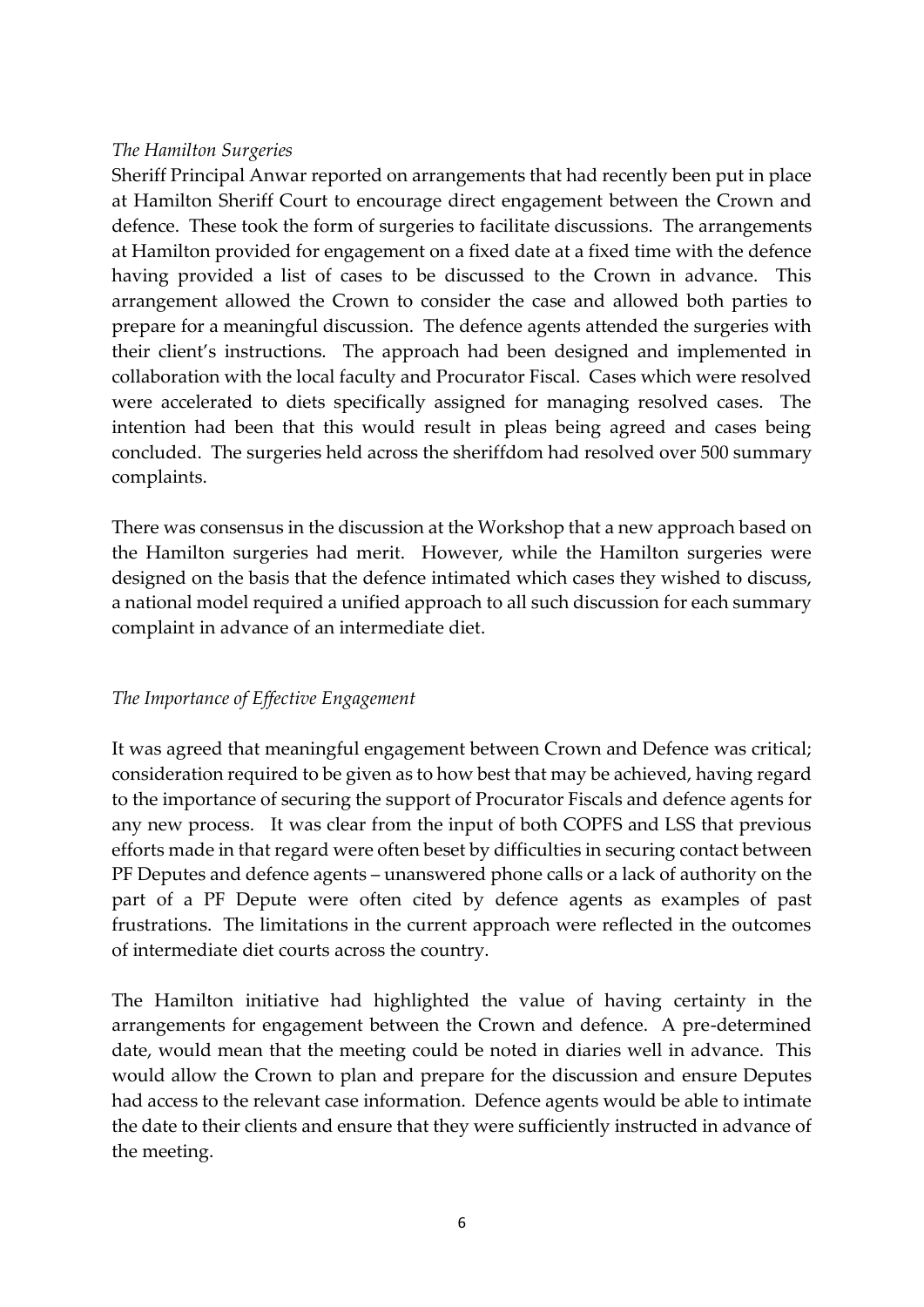#### *The Hamilton Surgeries*

Sheriff Principal Anwar reported on arrangements that had recently been put in place at Hamilton Sheriff Court to encourage direct engagement between the Crown and defence. These took the form of surgeries to facilitate discussions. The arrangements at Hamilton provided for engagement on a fixed date at a fixed time with the defence having provided a list of cases to be discussed to the Crown in advance. This arrangement allowed the Crown to consider the case and allowed both parties to prepare for a meaningful discussion. The defence agents attended the surgeries with their client's instructions. The approach had been designed and implemented in collaboration with the local faculty and Procurator Fiscal. Cases which were resolved were accelerated to diets specifically assigned for managing resolved cases. The intention had been that this would result in pleas being agreed and cases being concluded. The surgeries held across the sheriffdom had resolved over 500 summary complaints.

There was consensus in the discussion at the Workshop that a new approach based on the Hamilton surgeries had merit. However, while the Hamilton surgeries were designed on the basis that the defence intimated which cases they wished to discuss, a national model required a unified approach to all such discussion for each summary complaint in advance of an intermediate diet.

#### *The Importance of Effective Engagement*

It was agreed that meaningful engagement between Crown and Defence was critical; consideration required to be given as to how best that may be achieved, having regard to the importance of securing the support of Procurator Fiscals and defence agents for any new process. It was clear from the input of both COPFS and LSS that previous efforts made in that regard were often beset by difficulties in securing contact between PF Deputes and defence agents – unanswered phone calls or a lack of authority on the part of a PF Depute were often cited by defence agents as examples of past frustrations. The limitations in the current approach were reflected in the outcomes of intermediate diet courts across the country.

The Hamilton initiative had highlighted the value of having certainty in the arrangements for engagement between the Crown and defence. A pre-determined date, would mean that the meeting could be noted in diaries well in advance. This would allow the Crown to plan and prepare for the discussion and ensure Deputes had access to the relevant case information. Defence agents would be able to intimate the date to their clients and ensure that they were sufficiently instructed in advance of the meeting.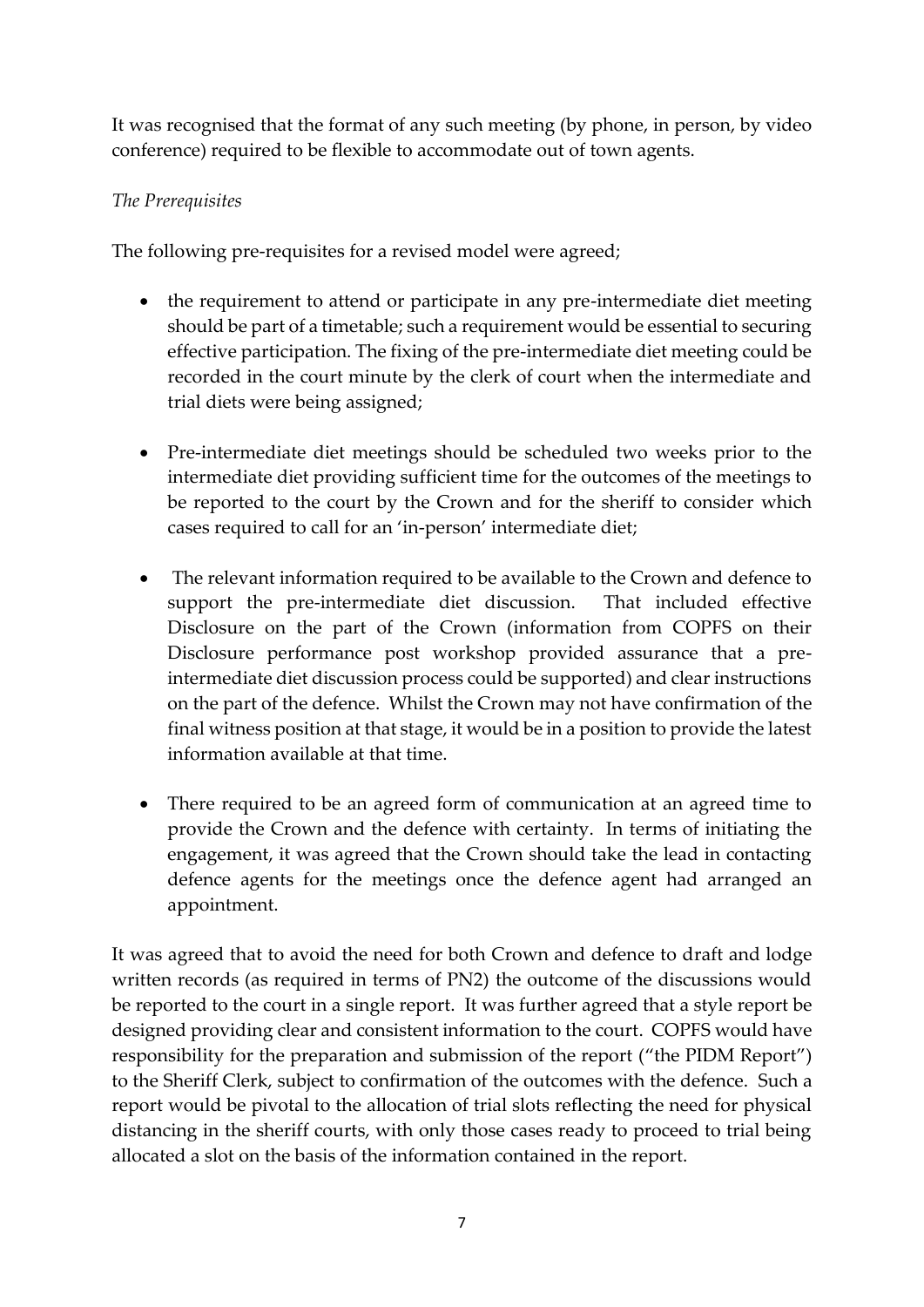It was recognised that the format of any such meeting (by phone, in person, by video conference) required to be flexible to accommodate out of town agents.

### *The Prerequisites*

The following pre-requisites for a revised model were agreed;

- the requirement to attend or participate in any pre-intermediate diet meeting should be part of a timetable; such a requirement would be essential to securing effective participation. The fixing of the pre-intermediate diet meeting could be recorded in the court minute by the clerk of court when the intermediate and trial diets were being assigned;
- Pre-intermediate diet meetings should be scheduled two weeks prior to the intermediate diet providing sufficient time for the outcomes of the meetings to be reported to the court by the Crown and for the sheriff to consider which cases required to call for an 'in-person' intermediate diet;
- The relevant information required to be available to the Crown and defence to support the pre-intermediate diet discussion. That included effective Disclosure on the part of the Crown (information from COPFS on their Disclosure performance post workshop provided assurance that a preintermediate diet discussion process could be supported) and clear instructions on the part of the defence. Whilst the Crown may not have confirmation of the final witness position at that stage, it would be in a position to provide the latest information available at that time.
- There required to be an agreed form of communication at an agreed time to provide the Crown and the defence with certainty. In terms of initiating the engagement, it was agreed that the Crown should take the lead in contacting defence agents for the meetings once the defence agent had arranged an appointment.

It was agreed that to avoid the need for both Crown and defence to draft and lodge written records (as required in terms of PN2) the outcome of the discussions would be reported to the court in a single report. It was further agreed that a style report be designed providing clear and consistent information to the court. COPFS would have responsibility for the preparation and submission of the report ("the PIDM Report") to the Sheriff Clerk, subject to confirmation of the outcomes with the defence. Such a report would be pivotal to the allocation of trial slots reflecting the need for physical distancing in the sheriff courts, with only those cases ready to proceed to trial being allocated a slot on the basis of the information contained in the report.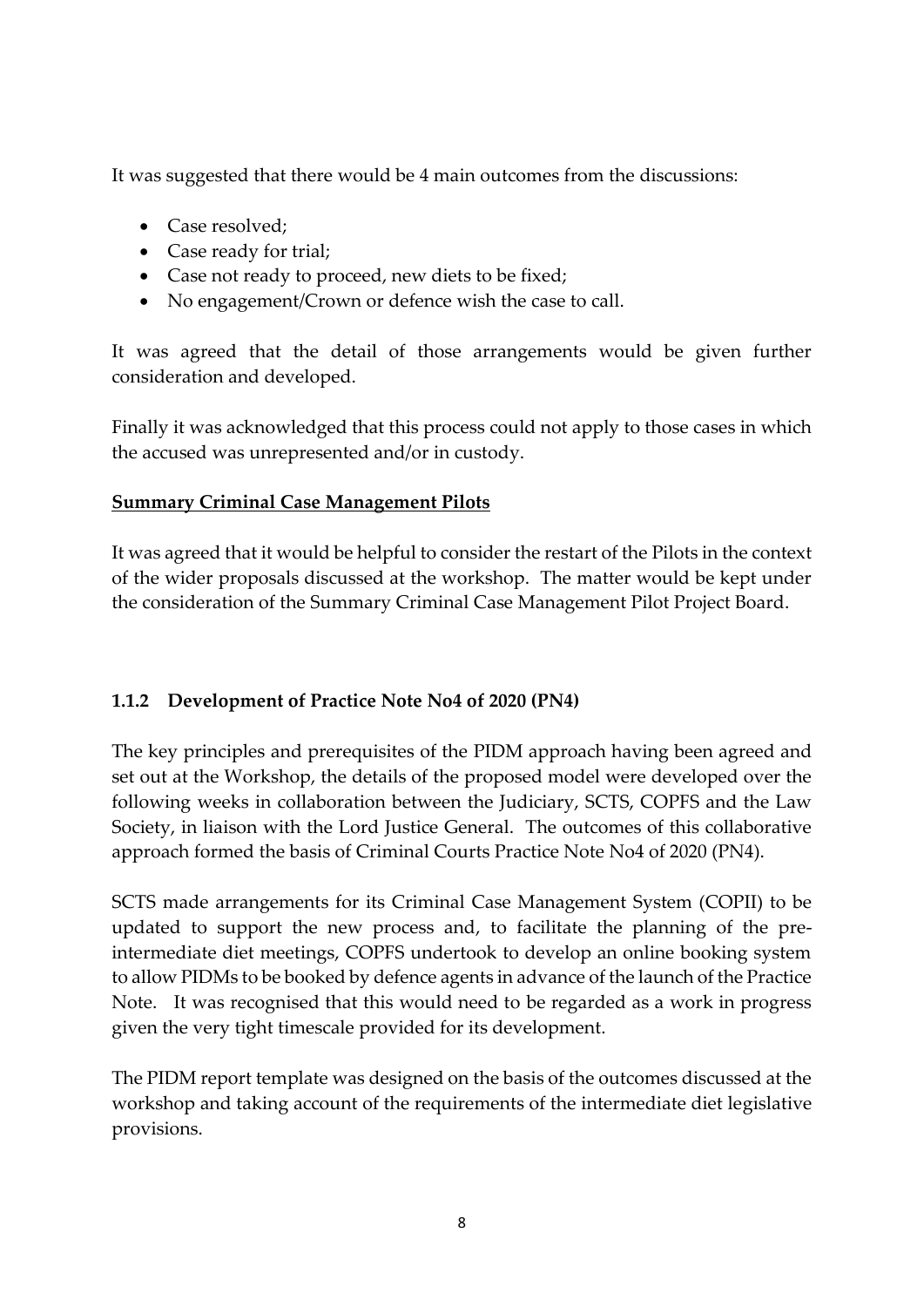It was suggested that there would be 4 main outcomes from the discussions:

- Case resolved;
- Case ready for trial;
- Case not ready to proceed, new diets to be fixed;
- No engagement/Crown or defence wish the case to call.

It was agreed that the detail of those arrangements would be given further consideration and developed.

Finally it was acknowledged that this process could not apply to those cases in which the accused was unrepresented and/or in custody.

### **Summary Criminal Case Management Pilots**

It was agreed that it would be helpful to consider the restart of the Pilots in the context of the wider proposals discussed at the workshop. The matter would be kept under the consideration of the Summary Criminal Case Management Pilot Project Board.

## **1.1.2 Development of Practice Note No4 of 2020 (PN4)**

The key principles and prerequisites of the PIDM approach having been agreed and set out at the Workshop, the details of the proposed model were developed over the following weeks in collaboration between the Judiciary, SCTS, COPFS and the Law Society, in liaison with the Lord Justice General. The outcomes of this collaborative approach formed the basis of Criminal Courts Practice Note No4 of 2020 (PN4).

SCTS made arrangements for its Criminal Case Management System (COPII) to be updated to support the new process and, to facilitate the planning of the preintermediate diet meetings, COPFS undertook to develop an online booking system to allow PIDMs to be booked by defence agents in advance of the launch of the Practice Note. It was recognised that this would need to be regarded as a work in progress given the very tight timescale provided for its development.

The PIDM report template was designed on the basis of the outcomes discussed at the workshop and taking account of the requirements of the intermediate diet legislative provisions.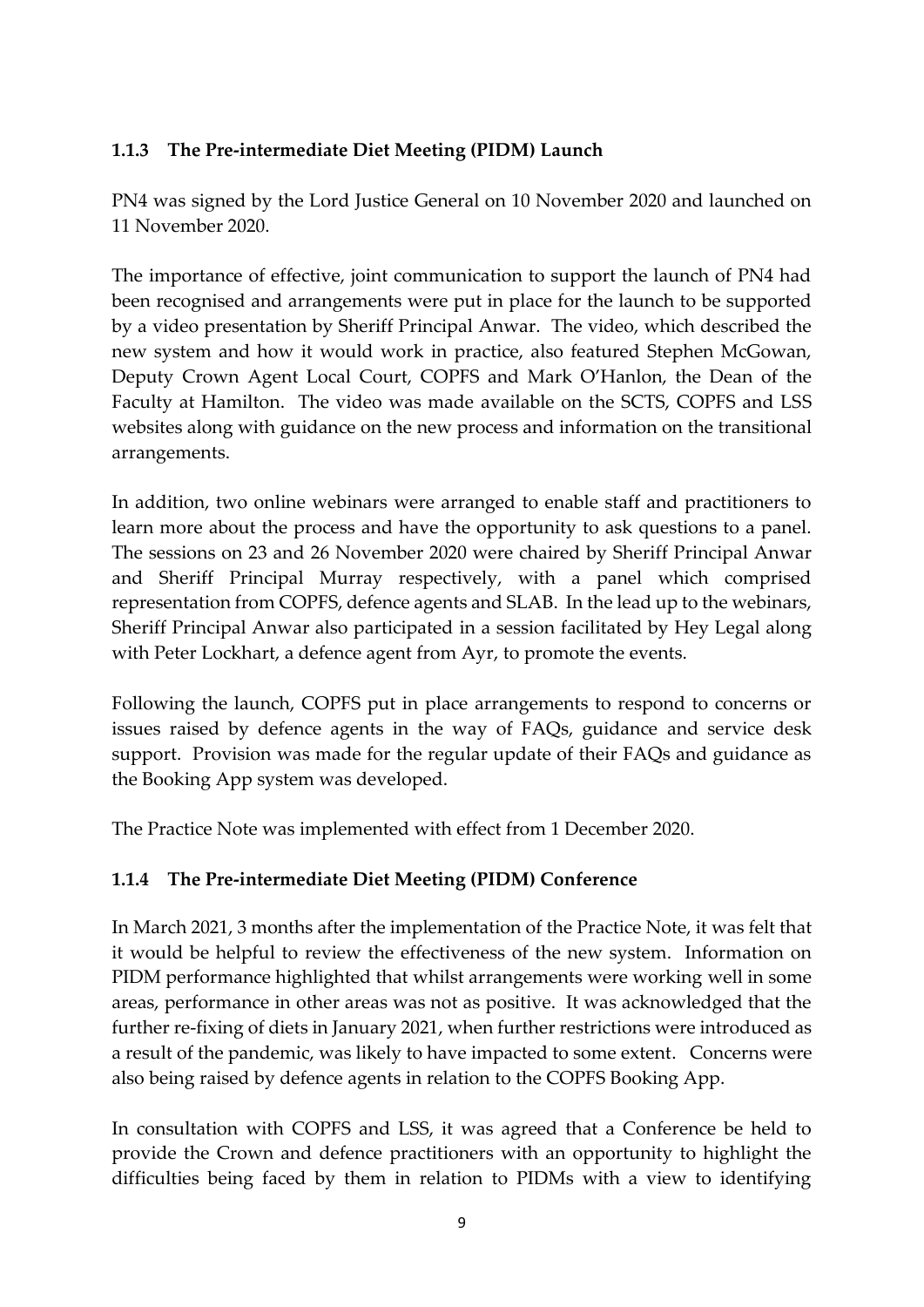## **1.1.3 The Pre-intermediate Diet Meeting (PIDM) Launch**

PN4 was signed by the Lord Justice General on 10 November 2020 and launched on 11 November 2020.

The importance of effective, joint communication to support the launch of PN4 had been recognised and arrangements were put in place for the launch to be supported by a video presentation by Sheriff Principal Anwar. The video, which described the new system and how it would work in practice, also featured Stephen McGowan, Deputy Crown Agent Local Court, COPFS and Mark O'Hanlon, the Dean of the Faculty at Hamilton. The video was made available on the SCTS, COPFS and LSS websites along with guidance on the new process and information on the transitional arrangements.

In addition, two online webinars were arranged to enable staff and practitioners to learn more about the process and have the opportunity to ask questions to a panel. The sessions on 23 and 26 November 2020 were chaired by Sheriff Principal Anwar and Sheriff Principal Murray respectively, with a panel which comprised representation from COPFS, defence agents and SLAB. In the lead up to the webinars, Sheriff Principal Anwar also participated in a session facilitated by Hey Legal along with Peter Lockhart, a defence agent from Ayr, to promote the events.

Following the launch, COPFS put in place arrangements to respond to concerns or issues raised by defence agents in the way of FAQs, guidance and service desk support. Provision was made for the regular update of their FAQs and guidance as the Booking App system was developed.

The Practice Note was implemented with effect from 1 December 2020.

## **1.1.4 The Pre-intermediate Diet Meeting (PIDM) Conference**

In March 2021, 3 months after the implementation of the Practice Note, it was felt that it would be helpful to review the effectiveness of the new system. Information on PIDM performance highlighted that whilst arrangements were working well in some areas, performance in other areas was not as positive. It was acknowledged that the further re-fixing of diets in January 2021, when further restrictions were introduced as a result of the pandemic, was likely to have impacted to some extent. Concerns were also being raised by defence agents in relation to the COPFS Booking App.

In consultation with COPFS and LSS, it was agreed that a Conference be held to provide the Crown and defence practitioners with an opportunity to highlight the difficulties being faced by them in relation to PIDMs with a view to identifying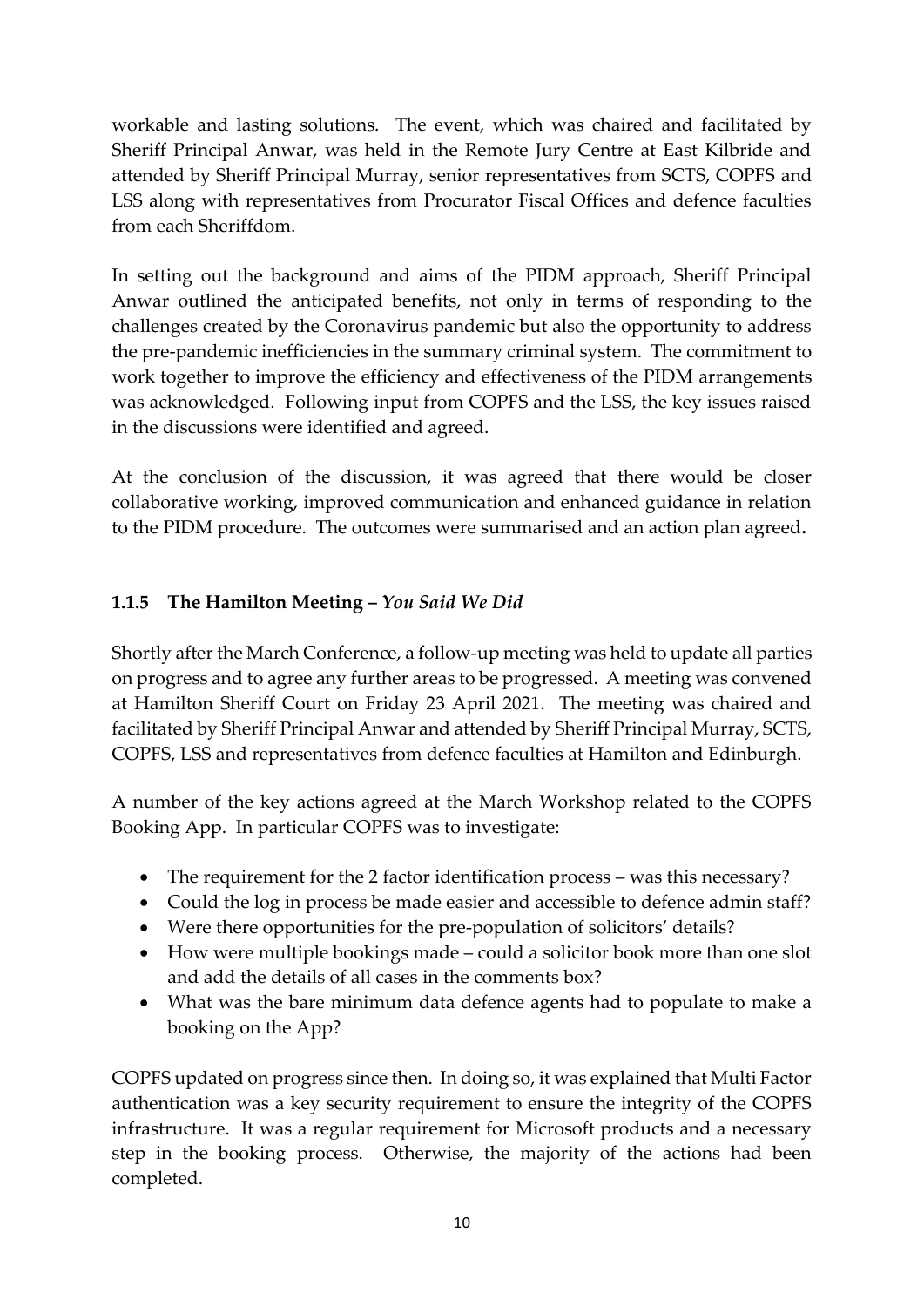workable and lasting solutions. The event, which was chaired and facilitated by Sheriff Principal Anwar, was held in the Remote Jury Centre at East Kilbride and attended by Sheriff Principal Murray, senior representatives from SCTS, COPFS and LSS along with representatives from Procurator Fiscal Offices and defence faculties from each Sheriffdom.

In setting out the background and aims of the PIDM approach, Sheriff Principal Anwar outlined the anticipated benefits, not only in terms of responding to the challenges created by the Coronavirus pandemic but also the opportunity to address the pre-pandemic inefficiencies in the summary criminal system. The commitment to work together to improve the efficiency and effectiveness of the PIDM arrangements was acknowledged. Following input from COPFS and the LSS, the key issues raised in the discussions were identified and agreed.

At the conclusion of the discussion, it was agreed that there would be closer collaborative working, improved communication and enhanced guidance in relation to the PIDM procedure. The outcomes were summarised and an action plan agreed**.**

## **1.1.5 The Hamilton Meeting –** *You Said We Did*

Shortly after the March Conference, a follow-up meeting was held to update all parties on progress and to agree any further areas to be progressed. A meeting was convened at Hamilton Sheriff Court on Friday 23 April 2021. The meeting was chaired and facilitated by Sheriff Principal Anwar and attended by Sheriff Principal Murray, SCTS, COPFS, LSS and representatives from defence faculties at Hamilton and Edinburgh.

A number of the key actions agreed at the March Workshop related to the COPFS Booking App. In particular COPFS was to investigate:

- The requirement for the 2 factor identification process was this necessary?
- Could the log in process be made easier and accessible to defence admin staff?
- Were there opportunities for the pre-population of solicitors' details?
- How were multiple bookings made could a solicitor book more than one slot and add the details of all cases in the comments box?
- What was the bare minimum data defence agents had to populate to make a booking on the App?

COPFS updated on progress since then. In doing so, it was explained that Multi Factor authentication was a key security requirement to ensure the integrity of the COPFS infrastructure. It was a regular requirement for Microsoft products and a necessary step in the booking process. Otherwise, the majority of the actions had been completed.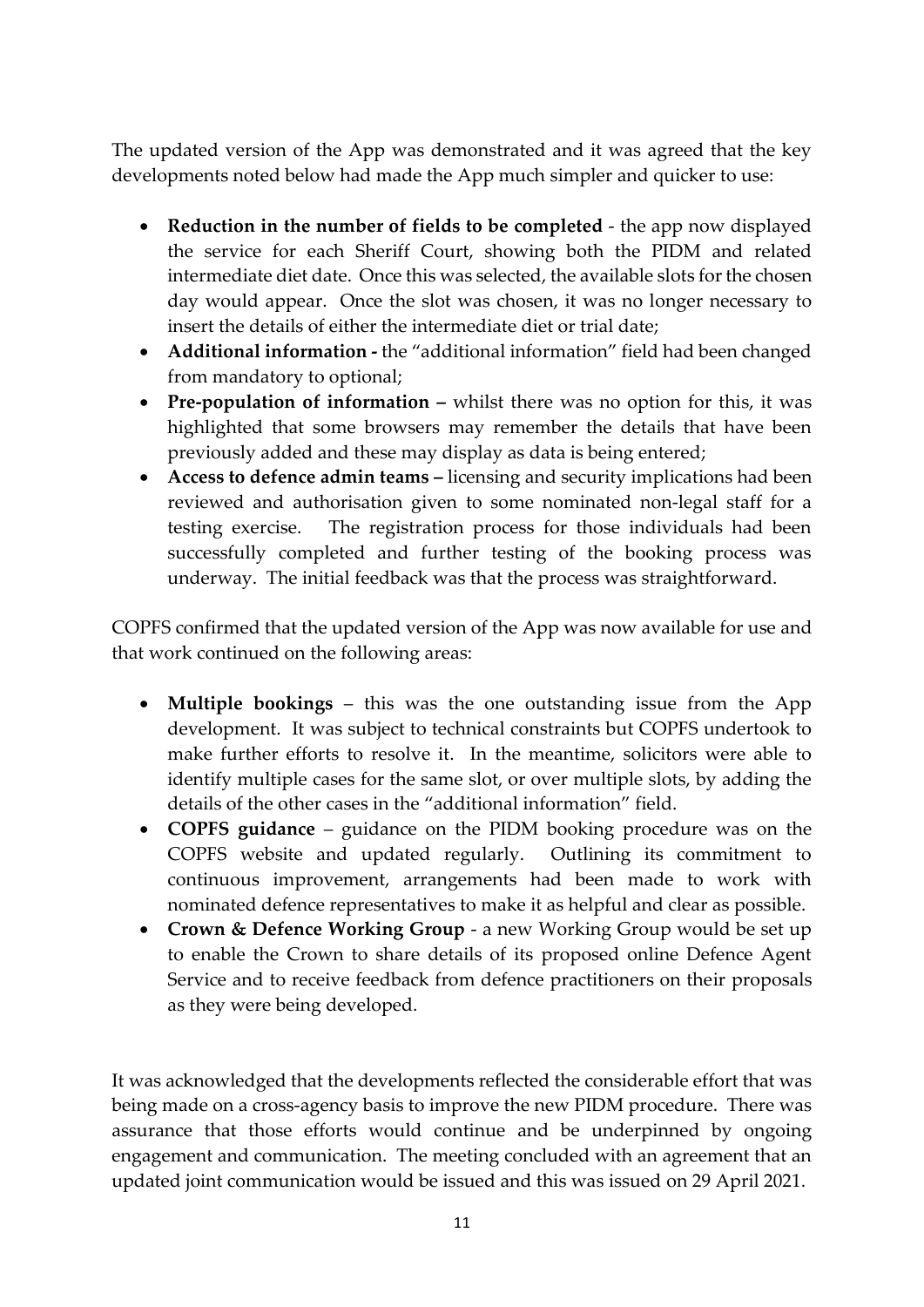The updated version of the App was demonstrated and it was agreed that the key developments noted below had made the App much simpler and quicker to use:

- **Reduction in the number of fields to be completed** the app now displayed the service for each Sheriff Court, showing both the PIDM and related intermediate diet date. Once this was selected, the available slots for the chosen day would appear. Once the slot was chosen, it was no longer necessary to insert the details of either the intermediate diet or trial date;
- **Additional information -** the "additional information" field had been changed from mandatory to optional;
- **Pre-population of information –** whilst there was no option for this, it was highlighted that some browsers may remember the details that have been previously added and these may display as data is being entered;
- **Access to defence admin teams –** licensing and security implications had been reviewed and authorisation given to some nominated non-legal staff for a testing exercise. The registration process for those individuals had been successfully completed and further testing of the booking process was underway. The initial feedback was that the process was straightforward.

COPFS confirmed that the updated version of the App was now available for use and that work continued on the following areas:

- **Multiple bookings** this was the one outstanding issue from the App development. It was subject to technical constraints but COPFS undertook to make further efforts to resolve it. In the meantime, solicitors were able to identify multiple cases for the same slot, or over multiple slots, by adding the details of the other cases in the "additional information" field.
- **COPFS guidance**  guidance on the PIDM booking procedure was on the COPFS website and updated regularly. Outlining its commitment to continuous improvement, arrangements had been made to work with nominated defence representatives to make it as helpful and clear as possible.
- **Crown & Defence Working Group** a new Working Group would be set up to enable the Crown to share details of its proposed online Defence Agent Service and to receive feedback from defence practitioners on their proposals as they were being developed.

It was acknowledged that the developments reflected the considerable effort that was being made on a cross-agency basis to improve the new PIDM procedure. There was assurance that those efforts would continue and be underpinned by ongoing engagement and communication. The meeting concluded with an agreement that an updated joint communication would be issued and this was issued on 29 April 2021.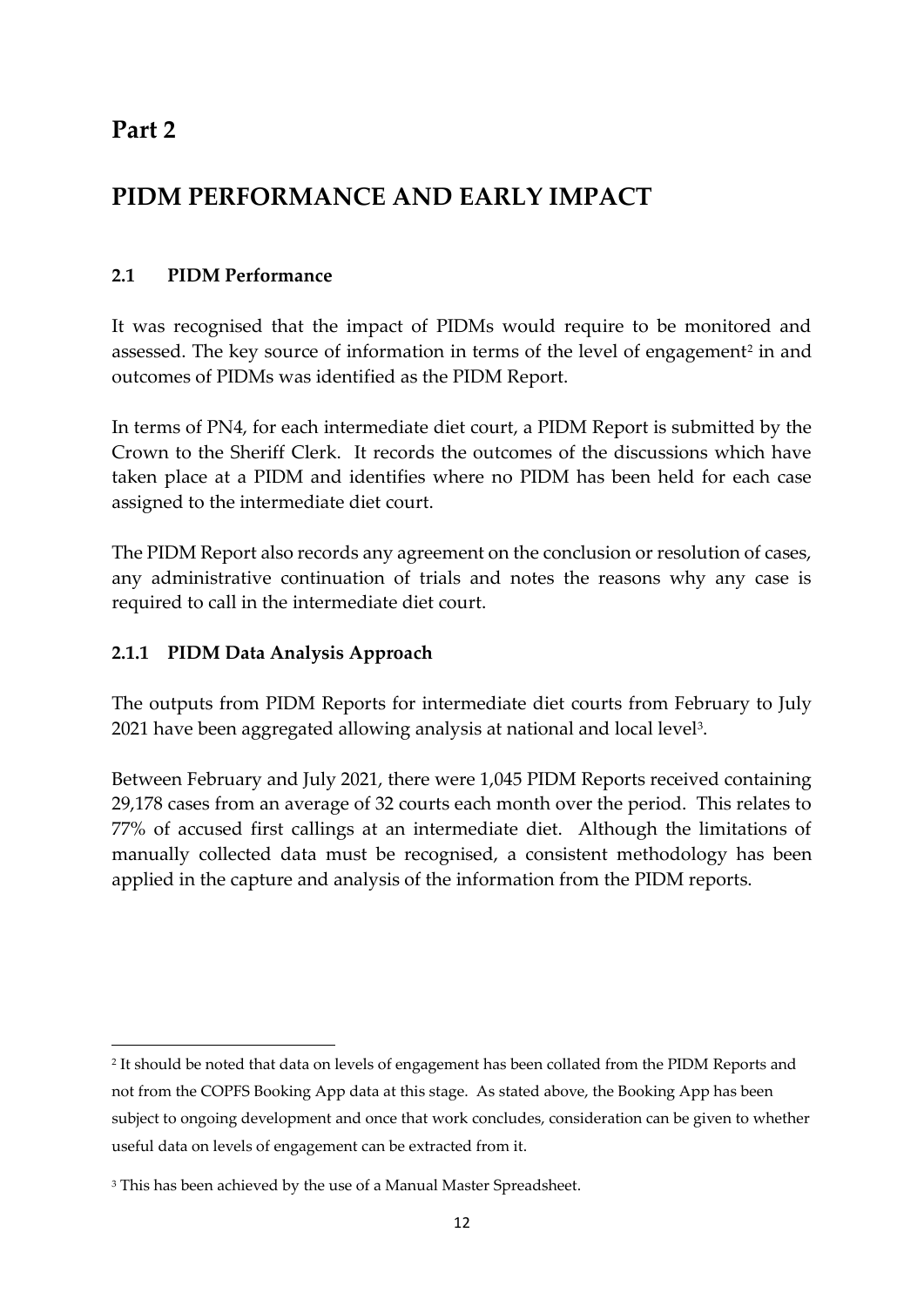## **Part 2**

**.** 

# **PIDM PERFORMANCE AND EARLY IMPACT**

## **2.1 PIDM Performance**

It was recognised that the impact of PIDMs would require to be monitored and assessed. The key source of information in terms of the level of engagement<sup>2</sup> in and outcomes of PIDMs was identified as the PIDM Report.

In terms of PN4, for each intermediate diet court, a PIDM Report is submitted by the Crown to the Sheriff Clerk. It records the outcomes of the discussions which have taken place at a PIDM and identifies where no PIDM has been held for each case assigned to the intermediate diet court.

The PIDM Report also records any agreement on the conclusion or resolution of cases, any administrative continuation of trials and notes the reasons why any case is required to call in the intermediate diet court.

## **2.1.1 PIDM Data Analysis Approach**

The outputs from PIDM Reports for intermediate diet courts from February to July  $2021$  have been aggregated allowing analysis at national and local level<sup>3</sup>.

Between February and July 2021, there were 1,045 PIDM Reports received containing 29,178 cases from an average of 32 courts each month over the period. This relates to 77% of accused first callings at an intermediate diet. Although the limitations of manually collected data must be recognised, a consistent methodology has been applied in the capture and analysis of the information from the PIDM reports.

<sup>2</sup> It should be noted that data on levels of engagement has been collated from the PIDM Reports and not from the COPFS Booking App data at this stage. As stated above, the Booking App has been subject to ongoing development and once that work concludes, consideration can be given to whether useful data on levels of engagement can be extracted from it.

<sup>&</sup>lt;sup>3</sup> This has been achieved by the use of a Manual Master Spreadsheet.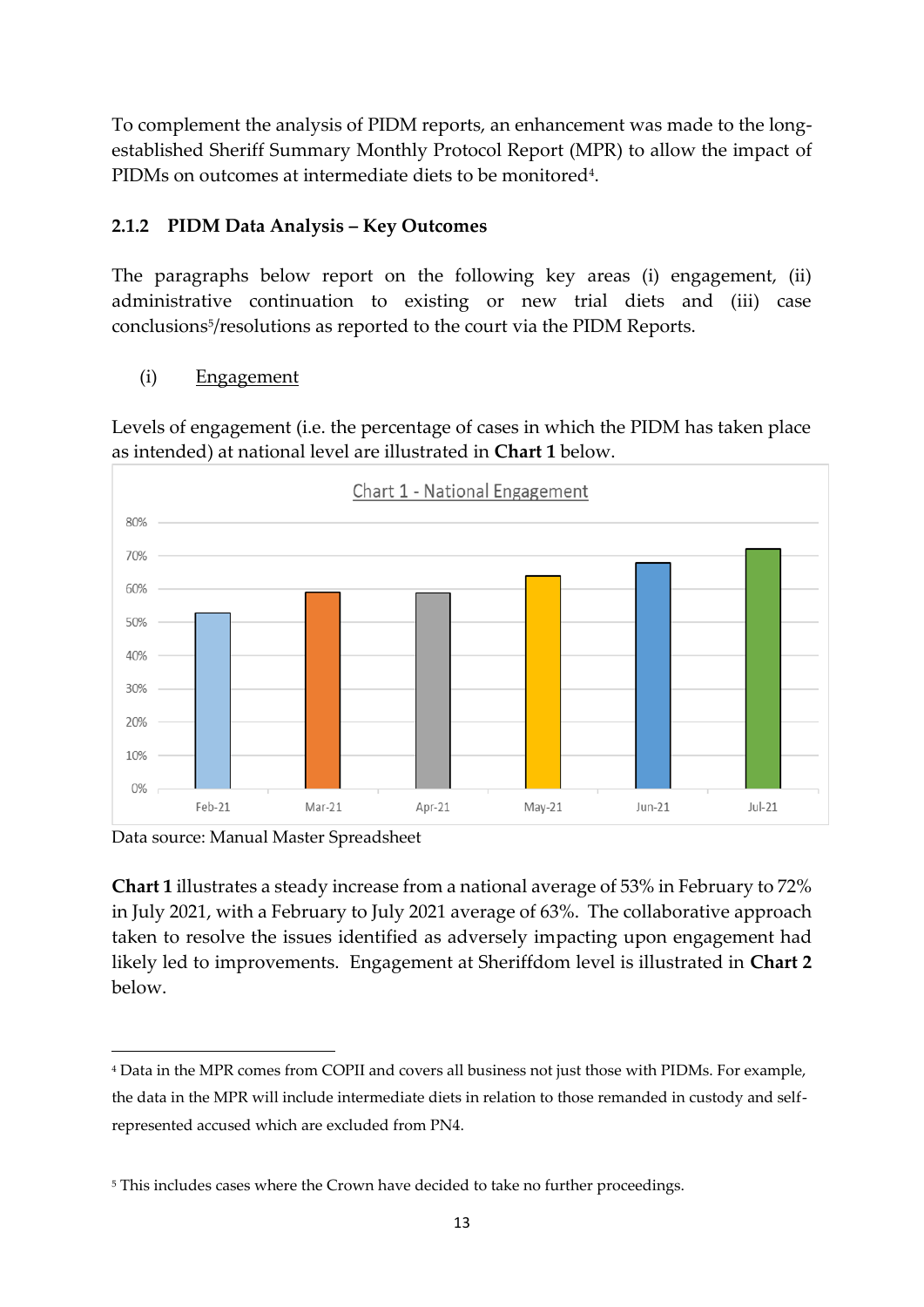To complement the analysis of PIDM reports, an enhancement was made to the longestablished Sheriff Summary Monthly Protocol Report (MPR) to allow the impact of PIDMs on outcomes at intermediate diets to be monitored<sup>4</sup> .

### **2.1.2 PIDM Data Analysis – Key Outcomes**

The paragraphs below report on the following key areas (i) engagement, (ii) administrative continuation to existing or new trial diets and (iii) case conclusions<sup>5</sup> /resolutions as reported to the court via the PIDM Reports.

(i) Engagement

Levels of engagement (i.e. the percentage of cases in which the PIDM has taken place as intended) at national level are illustrated in **Chart 1** below.



Data source: Manual Master Spreadsheet

-

**Chart 1** illustrates a steady increase from a national average of 53% in February to 72% in July 2021, with a February to July 2021 average of 63%. The collaborative approach taken to resolve the issues identified as adversely impacting upon engagement had likely led to improvements. Engagement at Sheriffdom level is illustrated in **Chart 2** below.

<sup>4</sup> Data in the MPR comes from COPII and covers all business not just those with PIDMs. For example, the data in the MPR will include intermediate diets in relation to those remanded in custody and selfrepresented accused which are excluded from PN4.

<sup>&</sup>lt;sup>5</sup> This includes cases where the Crown have decided to take no further proceedings.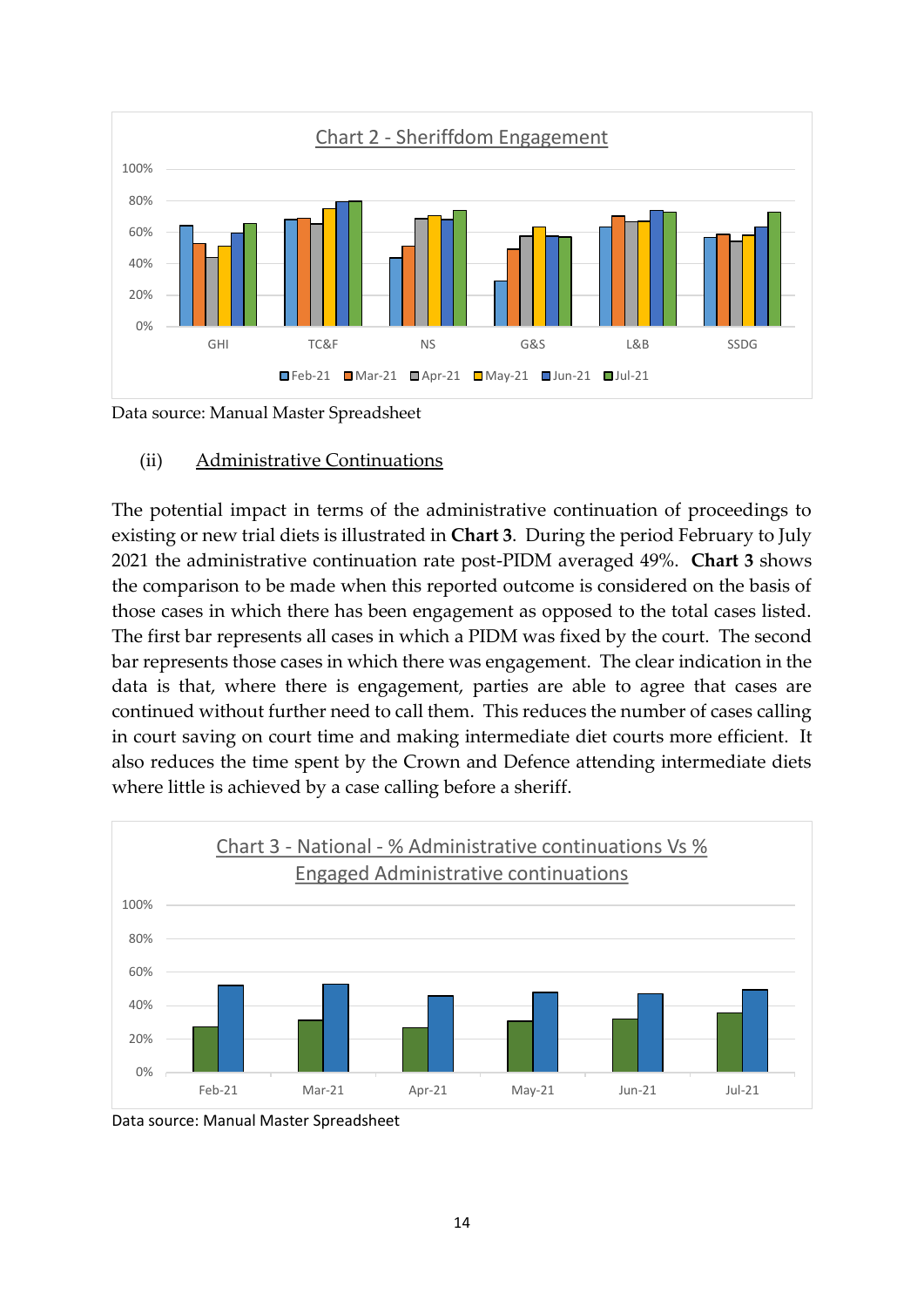

Data source: Manual Master Spreadsheet

(ii) Administrative Continuations

The potential impact in terms of the administrative continuation of proceedings to existing or new trial diets is illustrated in **Chart 3**. During the period February to July 2021 the administrative continuation rate post-PIDM averaged 49%. **Chart 3** shows the comparison to be made when this reported outcome is considered on the basis of those cases in which there has been engagement as opposed to the total cases listed. The first bar represents all cases in which a PIDM was fixed by the court. The second bar represents those cases in which there was engagement. The clear indication in the data is that, where there is engagement, parties are able to agree that cases are continued without further need to call them. This reduces the number of cases calling in court saving on court time and making intermediate diet courts more efficient. It also reduces the time spent by the Crown and Defence attending intermediate diets where little is achieved by a case calling before a sheriff.



Data source: Manual Master Spreadsheet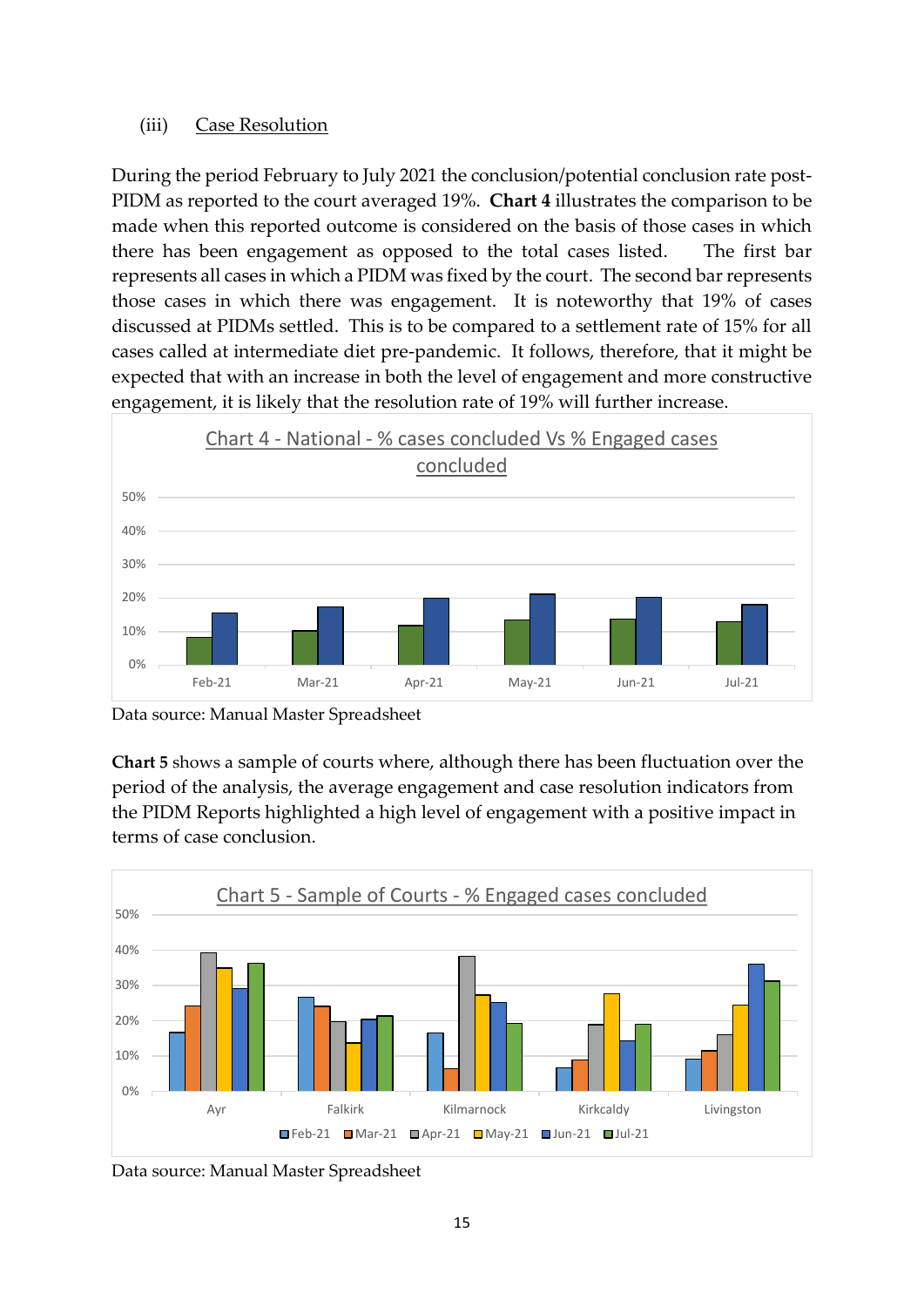#### (iii) Case Resolution

During the period February to July 2021 the conclusion/potential conclusion rate post-PIDM as reported to the court averaged 19%. **Chart 4** illustrates the comparison to be made when this reported outcome is considered on the basis of those cases in which there has been engagement as opposed to the total cases listed. The first bar represents all cases in which a PIDM was fixed by the court. The second bar represents those cases in which there was engagement. It is noteworthy that 19% of cases discussed at PIDMs settled. This is to be compared to a settlement rate of 15% for all cases called at intermediate diet pre-pandemic. It follows, therefore, that it might be expected that with an increase in both the level of engagement and more constructive engagement, it is likely that the resolution rate of 19% will further increase.



Data source: Manual Master Spreadsheet

**Chart 5** shows a sample of courts where, although there has been fluctuation over the period of the analysis, the average engagement and case resolution indicators from the PIDM Reports highlighted a high level of engagement with a positive impact in terms of case conclusion.



Data source: Manual Master Spreadsheet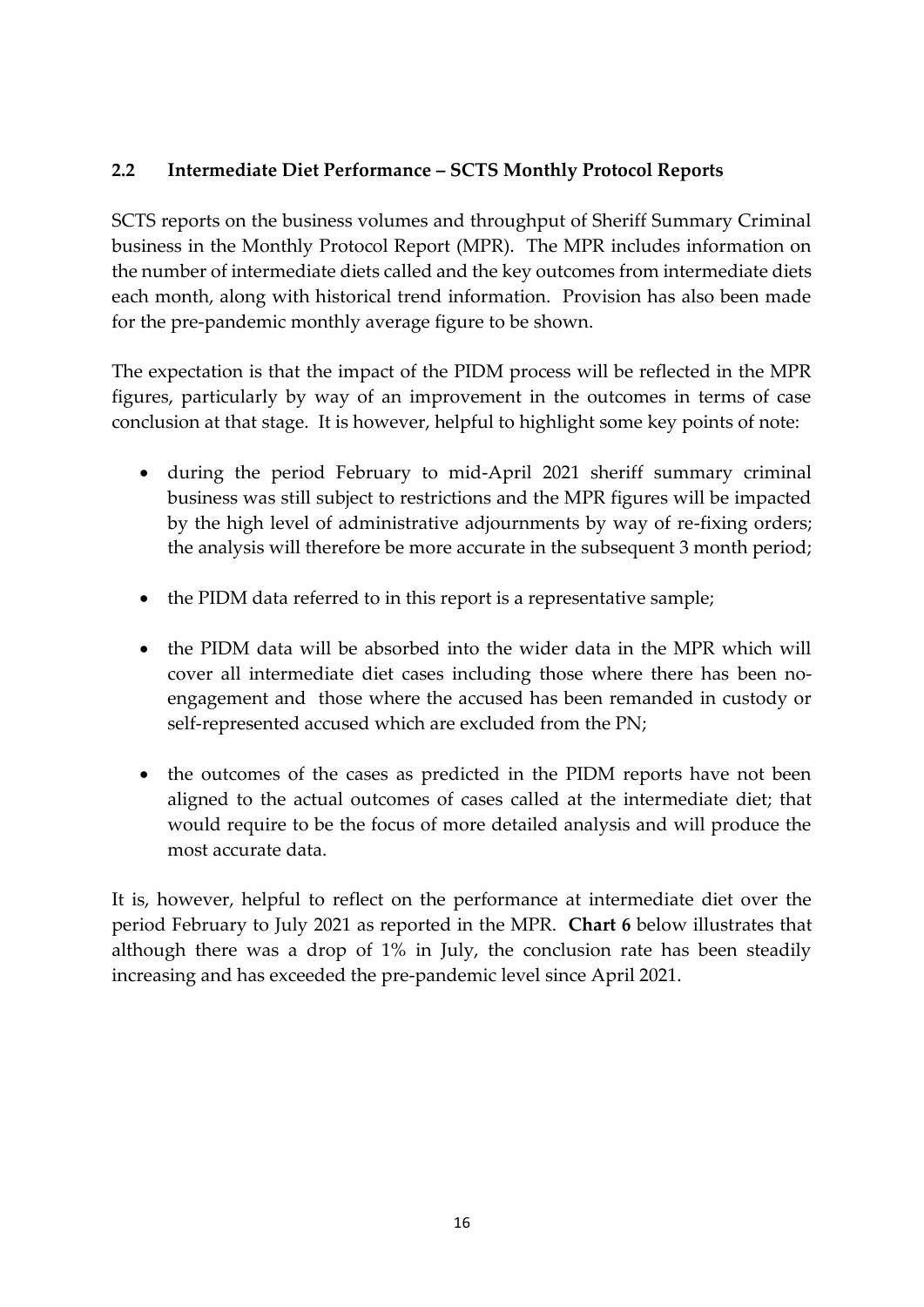### **2.2 Intermediate Diet Performance – SCTS Monthly Protocol Reports**

SCTS reports on the business volumes and throughput of Sheriff Summary Criminal business in the Monthly Protocol Report (MPR). The MPR includes information on the number of intermediate diets called and the key outcomes from intermediate diets each month, along with historical trend information. Provision has also been made for the pre-pandemic monthly average figure to be shown.

The expectation is that the impact of the PIDM process will be reflected in the MPR figures, particularly by way of an improvement in the outcomes in terms of case conclusion at that stage. It is however, helpful to highlight some key points of note:

- during the period February to mid-April 2021 sheriff summary criminal business was still subject to restrictions and the MPR figures will be impacted by the high level of administrative adjournments by way of re-fixing orders; the analysis will therefore be more accurate in the subsequent 3 month period;
- the PIDM data referred to in this report is a representative sample;
- the PIDM data will be absorbed into the wider data in the MPR which will cover all intermediate diet cases including those where there has been noengagement and those where the accused has been remanded in custody or self-represented accused which are excluded from the PN;
- the outcomes of the cases as predicted in the PIDM reports have not been aligned to the actual outcomes of cases called at the intermediate diet; that would require to be the focus of more detailed analysis and will produce the most accurate data.

It is, however, helpful to reflect on the performance at intermediate diet over the period February to July 2021 as reported in the MPR. **Chart 6** below illustrates that although there was a drop of 1% in July, the conclusion rate has been steadily increasing and has exceeded the pre-pandemic level since April 2021.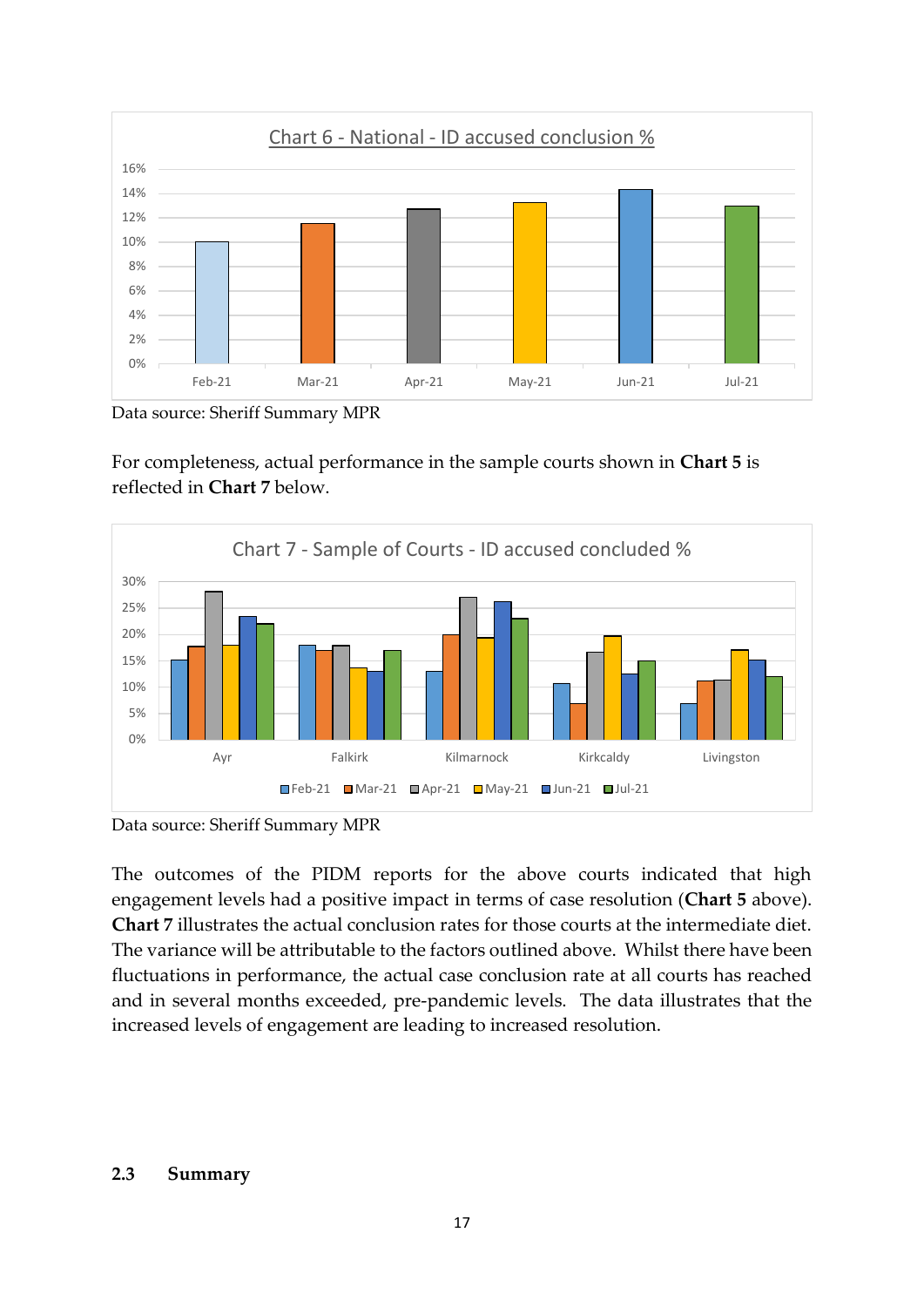

Data source: Sheriff Summary MPR

For completeness, actual performance in the sample courts shown in **Chart 5** is reflected in **Chart 7** below.



Data source: Sheriff Summary MPR

The outcomes of the PIDM reports for the above courts indicated that high engagement levels had a positive impact in terms of case resolution (**Chart 5** above). **Chart 7** illustrates the actual conclusion rates for those courts at the intermediate diet. The variance will be attributable to the factors outlined above. Whilst there have been fluctuations in performance, the actual case conclusion rate at all courts has reached and in several months exceeded, pre-pandemic levels. The data illustrates that the increased levels of engagement are leading to increased resolution.

#### **2.3 Summary**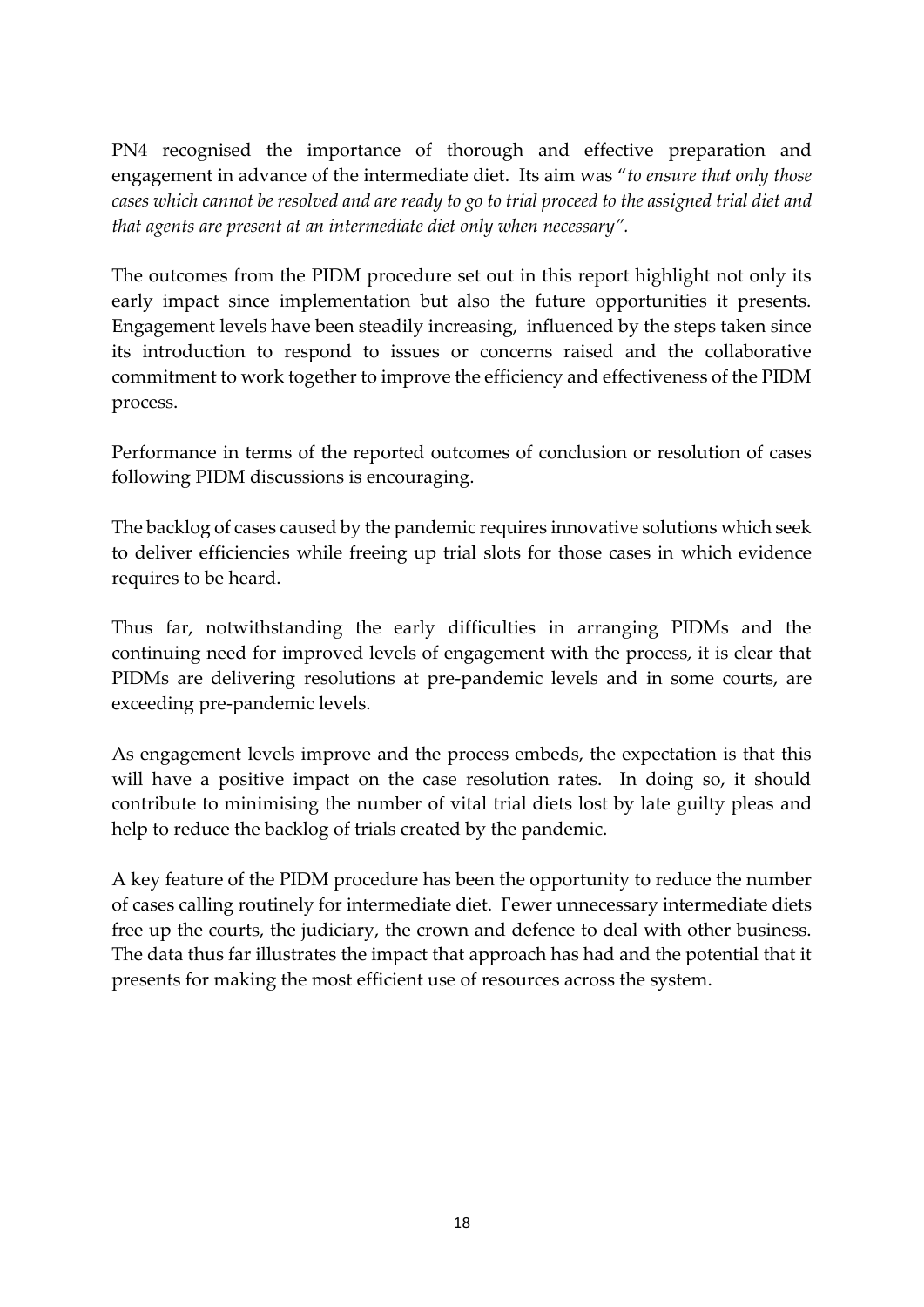PN4 recognised the importance of thorough and effective preparation and engagement in advance of the intermediate diet. Its aim was "*to ensure that only those cases which cannot be resolved and are ready to go to trial proceed to the assigned trial diet and that agents are present at an intermediate diet only when necessary".* 

The outcomes from the PIDM procedure set out in this report highlight not only its early impact since implementation but also the future opportunities it presents. Engagement levels have been steadily increasing, influenced by the steps taken since its introduction to respond to issues or concerns raised and the collaborative commitment to work together to improve the efficiency and effectiveness of the PIDM process.

Performance in terms of the reported outcomes of conclusion or resolution of cases following PIDM discussions is encouraging.

The backlog of cases caused by the pandemic requires innovative solutions which seek to deliver efficiencies while freeing up trial slots for those cases in which evidence requires to be heard.

Thus far, notwithstanding the early difficulties in arranging PIDMs and the continuing need for improved levels of engagement with the process, it is clear that PIDMs are delivering resolutions at pre-pandemic levels and in some courts, are exceeding pre-pandemic levels.

As engagement levels improve and the process embeds, the expectation is that this will have a positive impact on the case resolution rates. In doing so, it should contribute to minimising the number of vital trial diets lost by late guilty pleas and help to reduce the backlog of trials created by the pandemic.

A key feature of the PIDM procedure has been the opportunity to reduce the number of cases calling routinely for intermediate diet. Fewer unnecessary intermediate diets free up the courts, the judiciary, the crown and defence to deal with other business. The data thus far illustrates the impact that approach has had and the potential that it presents for making the most efficient use of resources across the system.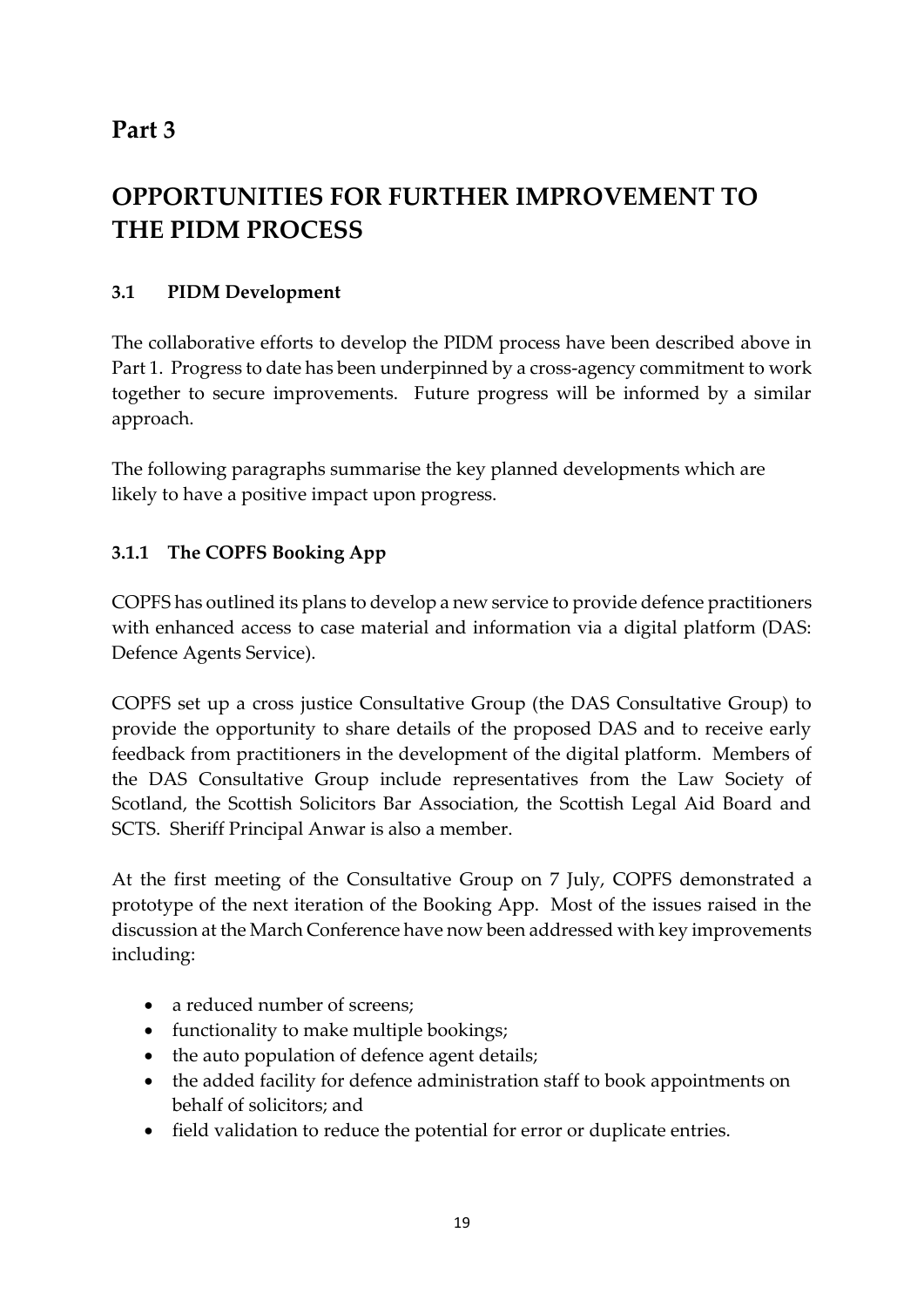## **Part 3**

# **OPPORTUNITIES FOR FURTHER IMPROVEMENT TO THE PIDM PROCESS**

### **3.1 PIDM Development**

The collaborative efforts to develop the PIDM process have been described above in Part 1. Progress to date has been underpinned by a cross-agency commitment to work together to secure improvements. Future progress will be informed by a similar approach.

The following paragraphs summarise the key planned developments which are likely to have a positive impact upon progress.

### **3.1.1 The COPFS Booking App**

COPFS has outlined its plans to develop a new service to provide defence practitioners with enhanced access to case material and information via a digital platform (DAS: Defence Agents Service).

COPFS set up a cross justice Consultative Group (the DAS Consultative Group) to provide the opportunity to share details of the proposed DAS and to receive early feedback from practitioners in the development of the digital platform. Members of the DAS Consultative Group include representatives from the Law Society of Scotland, the Scottish Solicitors Bar Association, the Scottish Legal Aid Board and SCTS. Sheriff Principal Anwar is also a member.

At the first meeting of the Consultative Group on 7 July, COPFS demonstrated a prototype of the next iteration of the Booking App. Most of the issues raised in the discussion at the March Conference have now been addressed with key improvements including:

- a reduced number of screens;
- functionality to make multiple bookings;
- the auto population of defence agent details;
- the added facility for defence administration staff to book appointments on behalf of solicitors; and
- field validation to reduce the potential for error or duplicate entries.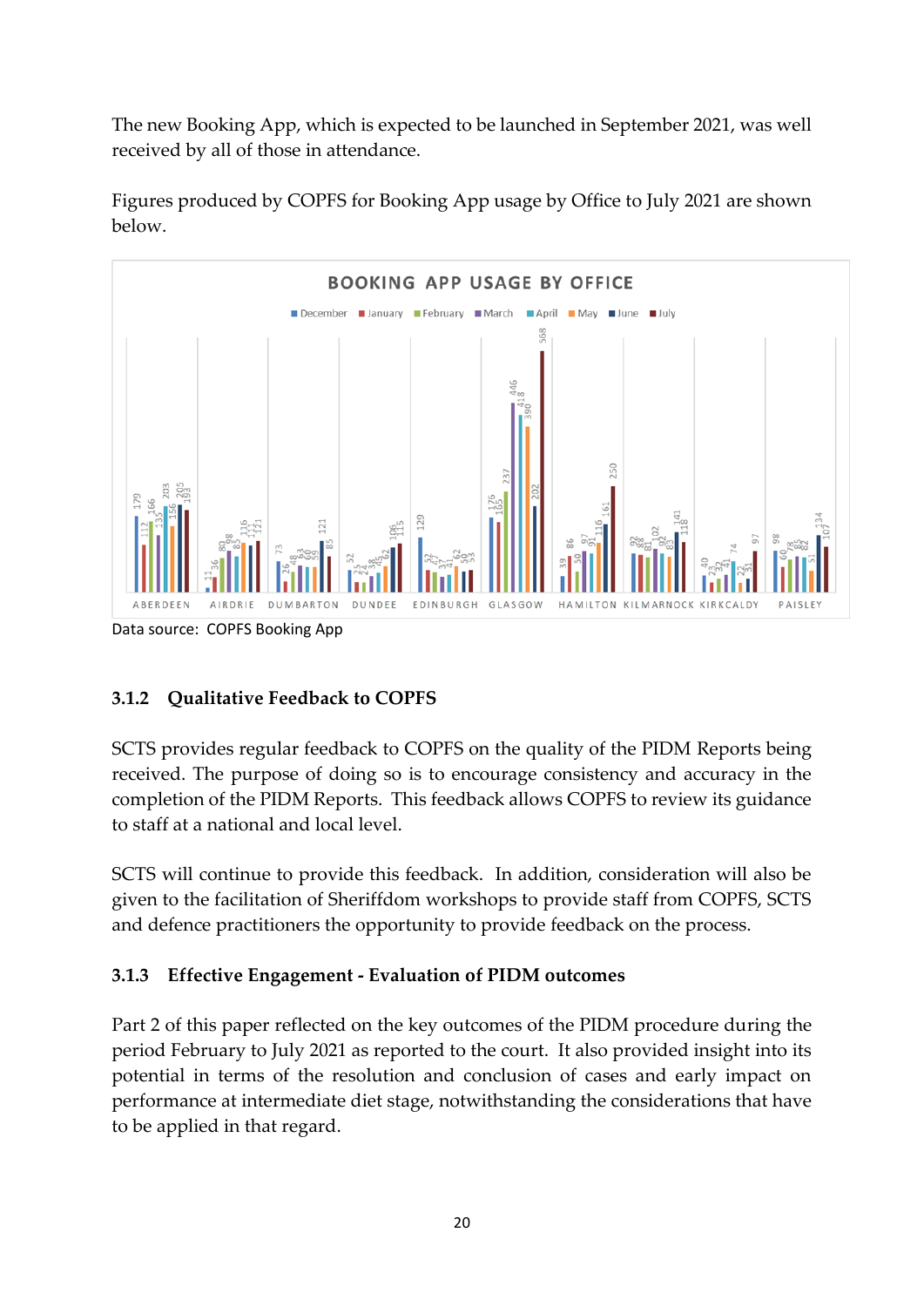The new Booking App, which is expected to be launched in September 2021, was well received by all of those in attendance.



Figures produced by COPFS for Booking App usage by Office to July 2021 are shown below.

## **3.1.2 Qualitative Feedback to COPFS**

SCTS provides regular feedback to COPFS on the quality of the PIDM Reports being received. The purpose of doing so is to encourage consistency and accuracy in the completion of the PIDM Reports. This feedback allows COPFS to review its guidance to staff at a national and local level.

SCTS will continue to provide this feedback. In addition, consideration will also be given to the facilitation of Sheriffdom workshops to provide staff from COPFS, SCTS and defence practitioners the opportunity to provide feedback on the process.

### **3.1.3 Effective Engagement - Evaluation of PIDM outcomes**

Part 2 of this paper reflected on the key outcomes of the PIDM procedure during the period February to July 2021 as reported to the court. It also provided insight into its potential in terms of the resolution and conclusion of cases and early impact on performance at intermediate diet stage, notwithstanding the considerations that have to be applied in that regard.

Data source: COPFS Booking App